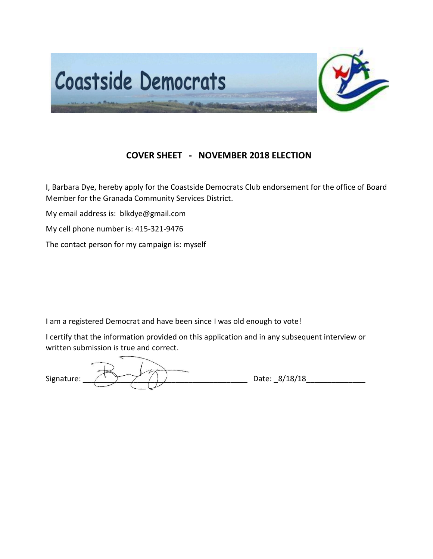

# **COVER SHEET - NOVEMBER 2018 ELECTION**

I, Barbara Dye, hereby apply for the Coastside Democrats Club endorsement for the office of Board Member for the Granada Community Services District.

My email address is: blkdye@gmail.com

My cell phone number is: 415-321-9476

The contact person for my campaign is: myself

I am a registered Democrat and have been since I was old enough to vote!

I certify that the information provided on this application and in any subsequent interview or written submission is true and correct.

Signature:  $\sqrt{2\pi/2}$  / ) Date: 8/18/18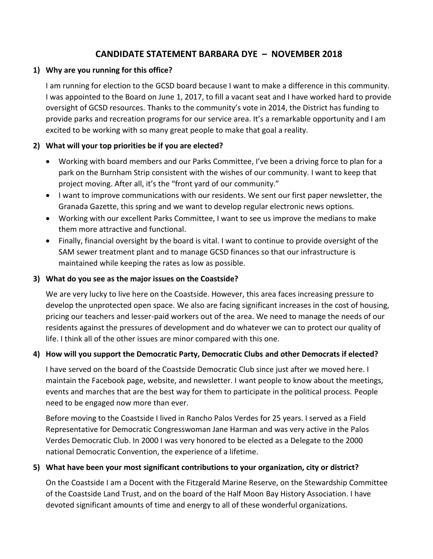# **CANDIDATE STATEMENT BARBARA DYE – NOVEMBER 2018**

## **1) Why are you running for this office?**

I am running for election to the GCSD board because I want to make a difference in this community. I was appointed to the Board on June 1, 2017, to fill a vacant seat and I have worked hard to provide oversight of GCSD resources. Thanks to the community's vote in 2014, the District has funding to provide parks and recreation programs for our service area. It's a remarkable opportunity and I am excited to be working with so many great people to make that goal a reality.

# **2) What will your top priorities be if you are elected?**

- Working with board members and our Parks Committee, I've been a driving force to plan for a park on the Burnham Strip consistent with the wishes of our community. I want to keep that project moving. After all, it's the "front yard of our community."
- I want to improve communications with our residents. We sent our first paper newsletter, the Granada Gazette, this spring and we want to develop regular electronic news options.
- Working with our excellent Parks Committee, I want to see us improve the medians to make them more attractive and functional.
- Finally, financial oversight by the board is vital. I want to continue to provide oversight of the SAM sewer treatment plant and to manage GCSD finances so that our infrastructure is maintained while keeping the rates as low as possible.

#### **3) What do you see as the major issues on the Coastside?**

We are very lucky to live here on the Coastside. However, this area faces increasing pressure to develop the unprotected open space. We also are facing significant increases in the cost of housing, pricing our teachers and lesser-paid workers out of the area. We need to manage the needs of our residents against the pressures of development and do whatever we can to protect our quality of life. I think all of the other issues are minor compared with this one.

## **4) How will you support the Democratic Party, Democratic Clubs and other Democrats if elected?**

I have served on the board of the Coastside Democratic Club since just after we moved here. I maintain the Facebook page, website, and newsletter. I want people to know about the meetings, events and marches that are the best way for them to participate in the political process. People need to be engaged now more than ever.

Before moving to the Coastside I lived in Rancho Palos Verdes for 25 years. I served as a Field Representative for Democratic Congresswoman Jane Harman and was very active in the Palos Verdes Democratic Club. In 2000 I was very honored to be elected as a Delegate to the 2000 national Democratic Convention, the experience of a lifetime.

## **5) What have been your most significant contributions to your organization, city or district?**

On the Coastside I am a Docent with the Fitzgerald Marine Reserve, on the Stewardship Committee of the Coastside Land Trust, and on the board of the Half Moon Bay History Association. I have devoted significant amounts of time and energy to all of these wonderful organizations.